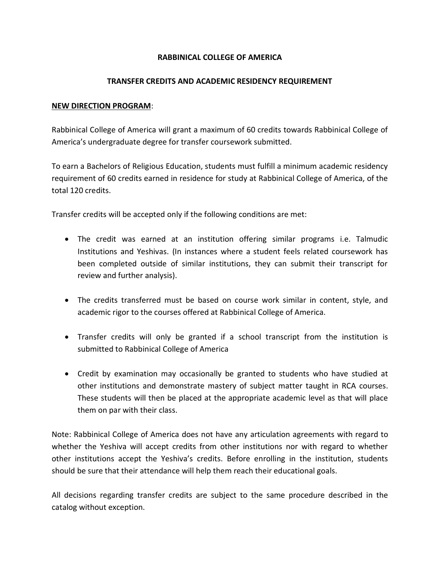## **RABBINICAL COLLEGE OF AMERICA**

## **TRANSFER CREDITS AND ACADEMIC RESIDENCY REQUIREMENT**

## **NEW DIRECTION PROGRAM**:

Rabbinical College of America will grant a maximum of 60 credits towards Rabbinical College of America's undergraduate degree for transfer coursework submitted.

To earn a Bachelors of Religious Education, students must fulfill a minimum academic residency requirement of 60 credits earned in residence for study at Rabbinical College of America, of the total 120 credits.

Transfer credits will be accepted only if the following conditions are met:

- The credit was earned at an institution offering similar programs i.e. Talmudic Institutions and Yeshivas. (In instances where a student feels related coursework has been completed outside of similar institutions, they can submit their transcript for review and further analysis).
- The credits transferred must be based on course work similar in content, style, and academic rigor to the courses offered at Rabbinical College of America.
- Transfer credits will only be granted if a school transcript from the institution is submitted to Rabbinical College of America
- Credit by examination may occasionally be granted to students who have studied at other institutions and demonstrate mastery of subject matter taught in RCA courses. These students will then be placed at the appropriate academic level as that will place them on par with their class.

Note: Rabbinical College of America does not have any articulation agreements with regard to whether the Yeshiva will accept credits from other institutions nor with regard to whether other institutions accept the Yeshiva's credits. Before enrolling in the institution, students should be sure that their attendance will help them reach their educational goals.

All decisions regarding transfer credits are subject to the same procedure described in the catalog without exception.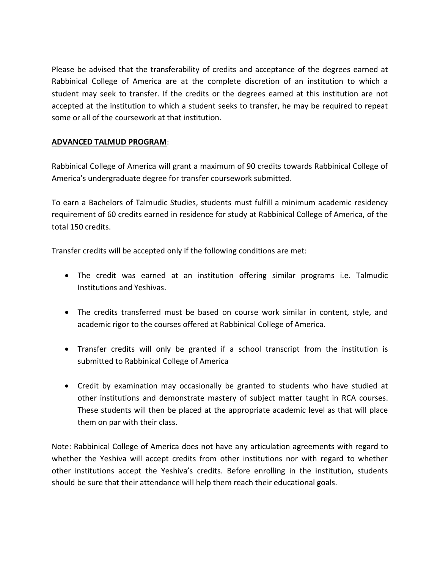Please be advised that the transferability of credits and acceptance of the degrees earned at Rabbinical College of America are at the complete discretion of an institution to which a student may seek to transfer. If the credits or the degrees earned at this institution are not accepted at the institution to which a student seeks to transfer, he may be required to repeat some or all of the coursework at that institution.

## **ADVANCED TALMUD PROGRAM**:

Rabbinical College of America will grant a maximum of 90 credits towards Rabbinical College of America's undergraduate degree for transfer coursework submitted.

To earn a Bachelors of Talmudic Studies, students must fulfill a minimum academic residency requirement of 60 credits earned in residence for study at Rabbinical College of America, of the total 150 credits.

Transfer credits will be accepted only if the following conditions are met:

- The credit was earned at an institution offering similar programs i.e. Talmudic Institutions and Yeshivas.
- The credits transferred must be based on course work similar in content, style, and academic rigor to the courses offered at Rabbinical College of America.
- Transfer credits will only be granted if a school transcript from the institution is submitted to Rabbinical College of America
- Credit by examination may occasionally be granted to students who have studied at other institutions and demonstrate mastery of subject matter taught in RCA courses. These students will then be placed at the appropriate academic level as that will place them on par with their class.

Note: Rabbinical College of America does not have any articulation agreements with regard to whether the Yeshiva will accept credits from other institutions nor with regard to whether other institutions accept the Yeshiva's credits. Before enrolling in the institution, students should be sure that their attendance will help them reach their educational goals.